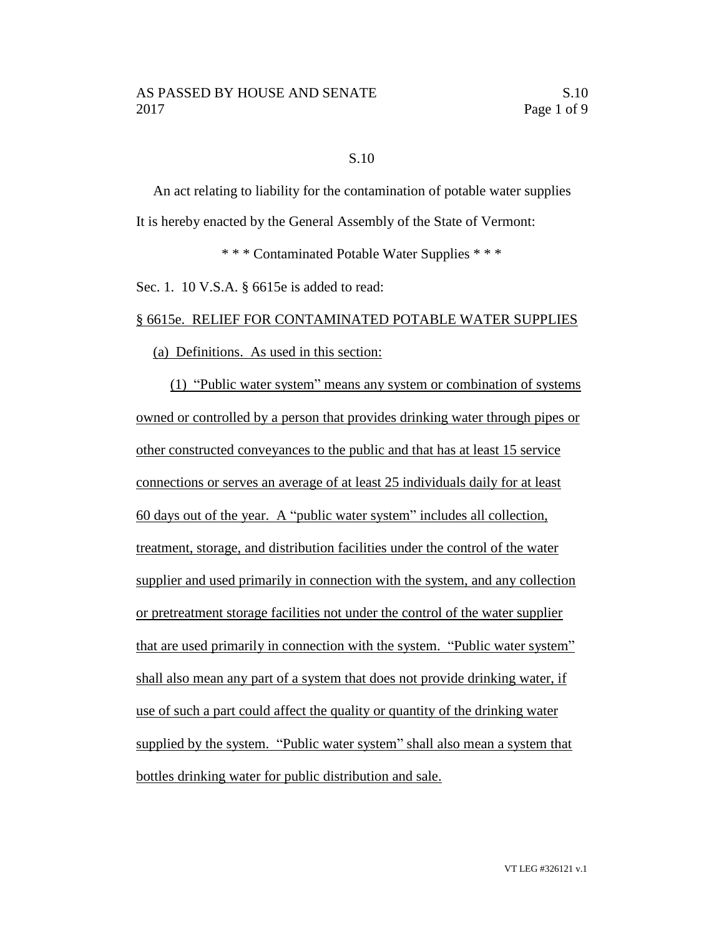### S.10

An act relating to liability for the contamination of potable water supplies It is hereby enacted by the General Assembly of the State of Vermont:

\* \* \* Contaminated Potable Water Supplies \* \* \*

Sec. 1. 10 V.S.A. § 6615e is added to read:

### § 6615e. RELIEF FOR CONTAMINATED POTABLE WATER SUPPLIES

#### (a) Definitions. As used in this section:

(1) "Public water system" means any system or combination of systems owned or controlled by a person that provides drinking water through pipes or other constructed conveyances to the public and that has at least 15 service connections or serves an average of at least 25 individuals daily for at least 60 days out of the year. A "public water system" includes all collection, treatment, storage, and distribution facilities under the control of the water supplier and used primarily in connection with the system, and any collection or pretreatment storage facilities not under the control of the water supplier that are used primarily in connection with the system. "Public water system" shall also mean any part of a system that does not provide drinking water, if use of such a part could affect the quality or quantity of the drinking water supplied by the system. "Public water system" shall also mean a system that bottles drinking water for public distribution and sale.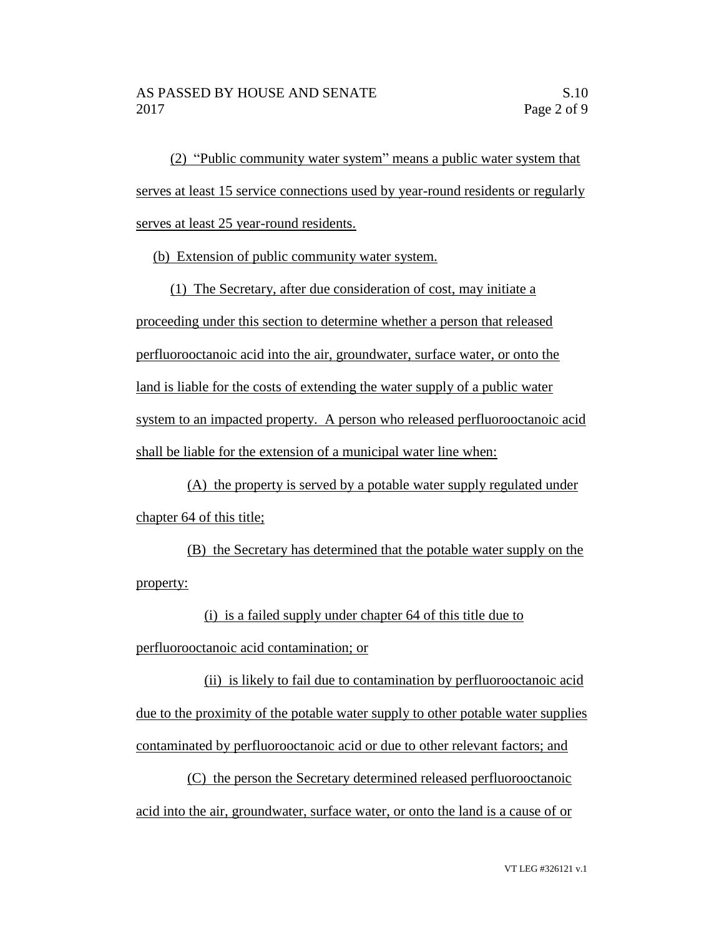(2) "Public community water system" means a public water system that serves at least 15 service connections used by year-round residents or regularly serves at least 25 year-round residents.

(b) Extension of public community water system.

(1) The Secretary, after due consideration of cost, may initiate a proceeding under this section to determine whether a person that released perfluorooctanoic acid into the air, groundwater, surface water, or onto the land is liable for the costs of extending the water supply of a public water system to an impacted property. A person who released perfluorooctanoic acid shall be liable for the extension of a municipal water line when:

(A) the property is served by a potable water supply regulated under chapter 64 of this title;

(B) the Secretary has determined that the potable water supply on the property:

(i) is a failed supply under chapter 64 of this title due to

perfluorooctanoic acid contamination; or

(ii) is likely to fail due to contamination by perfluorooctanoic acid due to the proximity of the potable water supply to other potable water supplies contaminated by perfluorooctanoic acid or due to other relevant factors; and

(C) the person the Secretary determined released perfluorooctanoic acid into the air, groundwater, surface water, or onto the land is a cause of or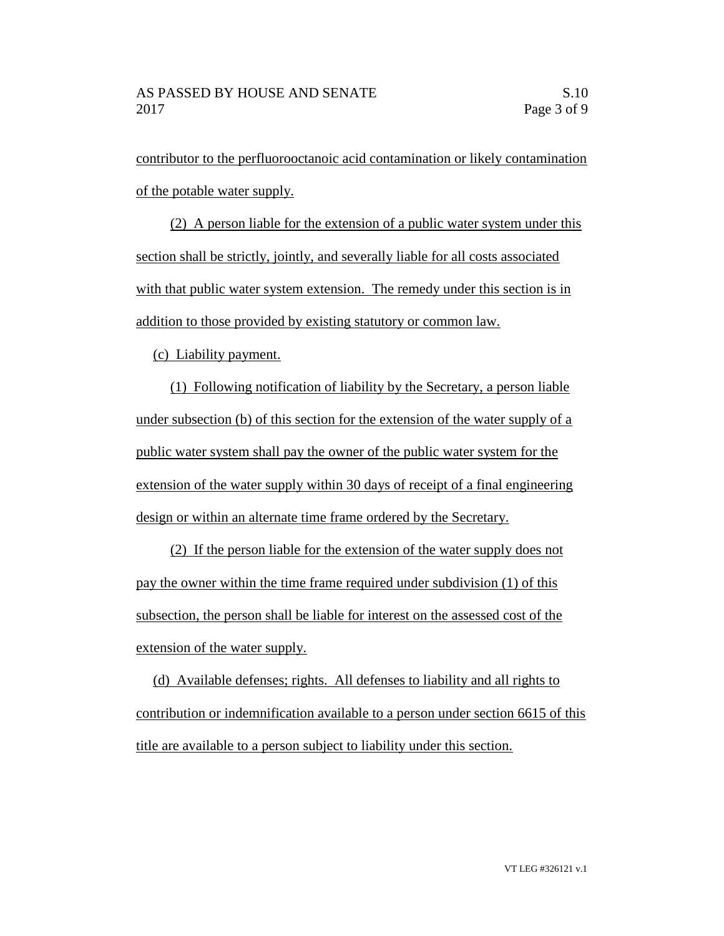contributor to the perfluorooctanoic acid contamination or likely contamination of the potable water supply.

(2) A person liable for the extension of a public water system under this section shall be strictly, jointly, and severally liable for all costs associated with that public water system extension. The remedy under this section is in addition to those provided by existing statutory or common law.

(c) Liability payment.

(1) Following notification of liability by the Secretary, a person liable under subsection (b) of this section for the extension of the water supply of a public water system shall pay the owner of the public water system for the extension of the water supply within 30 days of receipt of a final engineering design or within an alternate time frame ordered by the Secretary.

(2) If the person liable for the extension of the water supply does not pay the owner within the time frame required under subdivision (1) of this subsection, the person shall be liable for interest on the assessed cost of the extension of the water supply.

(d) Available defenses; rights. All defenses to liability and all rights to contribution or indemnification available to a person under section 6615 of this title are available to a person subject to liability under this section.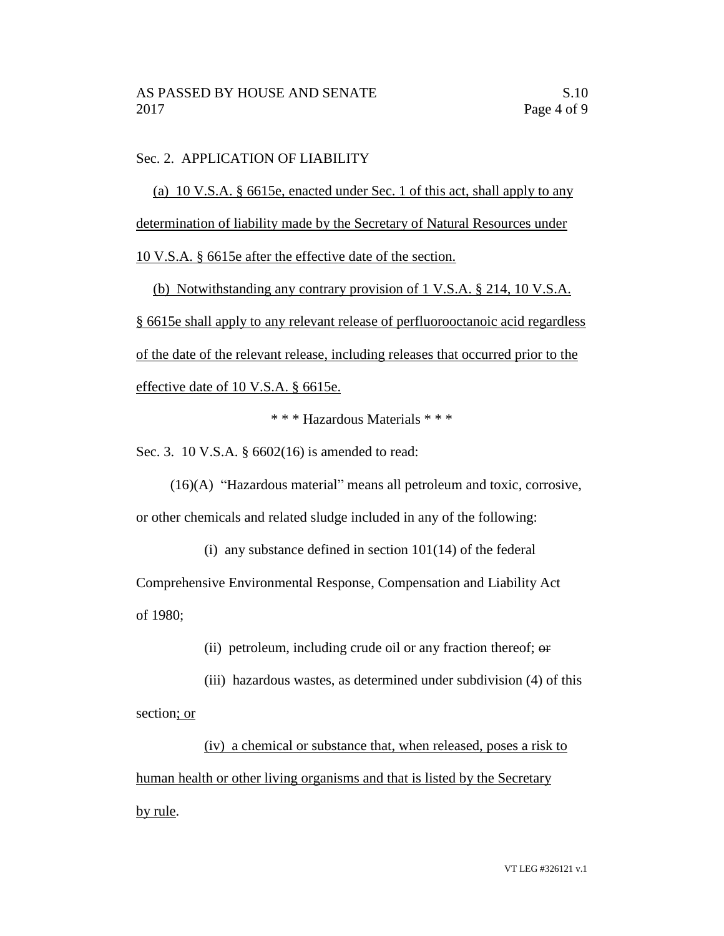# Sec. 2. APPLICATION OF LIABILITY

(a) 10 V.S.A. § 6615e, enacted under Sec. 1 of this act, shall apply to any determination of liability made by the Secretary of Natural Resources under

10 V.S.A. § 6615e after the effective date of the section.

(b) Notwithstanding any contrary provision of 1 V.S.A. § 214, 10 V.S.A. § 6615e shall apply to any relevant release of perfluorooctanoic acid regardless of the date of the relevant release, including releases that occurred prior to the effective date of 10 V.S.A. § 6615e.

\* \* \* Hazardous Materials \* \* \*

Sec. 3. 10 V.S.A. § 6602(16) is amended to read:

(16)(A) "Hazardous material" means all petroleum and toxic, corrosive, or other chemicals and related sludge included in any of the following:

(i) any substance defined in section  $101(14)$  of the federal

Comprehensive Environmental Response, Compensation and Liability Act of 1980;

(ii) petroleum, including crude oil or any fraction thereof; or

(iii) hazardous wastes, as determined under subdivision (4) of this section; or

(iv) a chemical or substance that, when released, poses a risk to human health or other living organisms and that is listed by the Secretary by rule.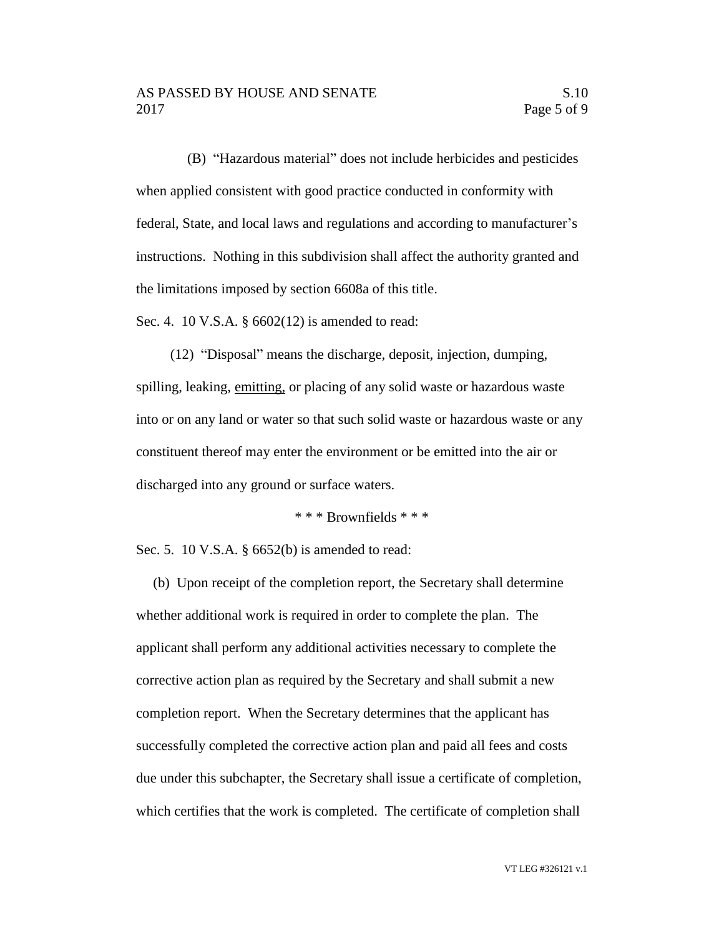(B) "Hazardous material" does not include herbicides and pesticides when applied consistent with good practice conducted in conformity with federal, State, and local laws and regulations and according to manufacturer's instructions. Nothing in this subdivision shall affect the authority granted and the limitations imposed by section 6608a of this title.

Sec. 4. 10 V.S.A. § 6602(12) is amended to read:

(12) "Disposal" means the discharge, deposit, injection, dumping, spilling, leaking, emitting, or placing of any solid waste or hazardous waste into or on any land or water so that such solid waste or hazardous waste or any constituent thereof may enter the environment or be emitted into the air or discharged into any ground or surface waters.

\* \* \* Brownfields \* \* \*

Sec. 5. 10 V.S.A. § 6652(b) is amended to read:

(b) Upon receipt of the completion report, the Secretary shall determine whether additional work is required in order to complete the plan. The applicant shall perform any additional activities necessary to complete the corrective action plan as required by the Secretary and shall submit a new completion report. When the Secretary determines that the applicant has successfully completed the corrective action plan and paid all fees and costs due under this subchapter, the Secretary shall issue a certificate of completion, which certifies that the work is completed. The certificate of completion shall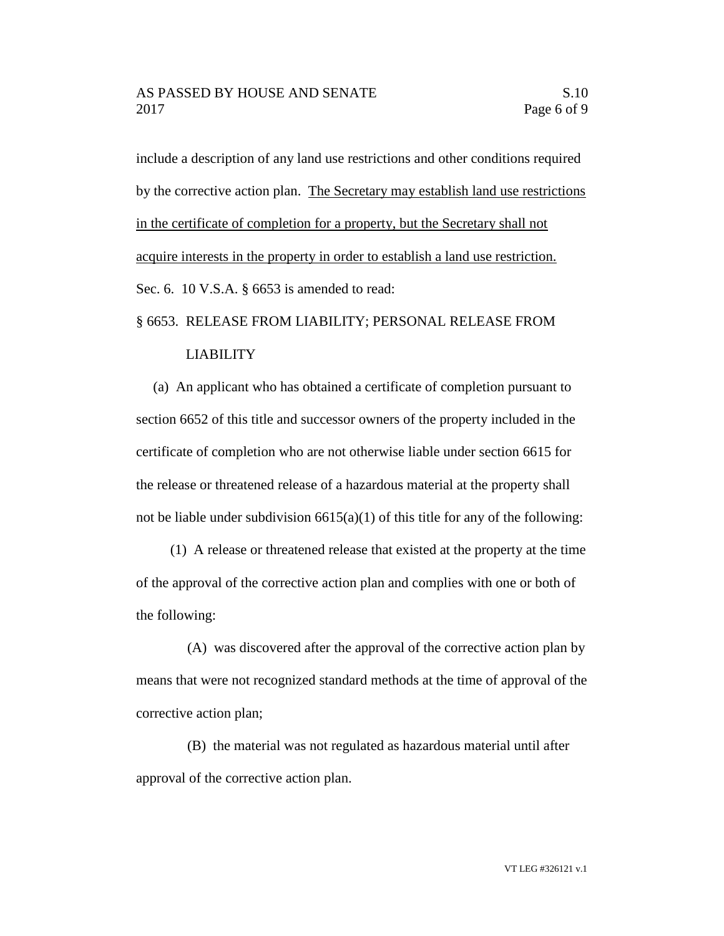include a description of any land use restrictions and other conditions required by the corrective action plan. The Secretary may establish land use restrictions in the certificate of completion for a property, but the Secretary shall not acquire interests in the property in order to establish a land use restriction. Sec. 6. 10 V.S.A. § 6653 is amended to read:

### § 6653. RELEASE FROM LIABILITY; PERSONAL RELEASE FROM

### LIABILITY

(a) An applicant who has obtained a certificate of completion pursuant to section 6652 of this title and successor owners of the property included in the certificate of completion who are not otherwise liable under section 6615 for the release or threatened release of a hazardous material at the property shall not be liable under subdivision  $6615(a)(1)$  of this title for any of the following:

(1) A release or threatened release that existed at the property at the time of the approval of the corrective action plan and complies with one or both of the following:

(A) was discovered after the approval of the corrective action plan by means that were not recognized standard methods at the time of approval of the corrective action plan;

(B) the material was not regulated as hazardous material until after approval of the corrective action plan.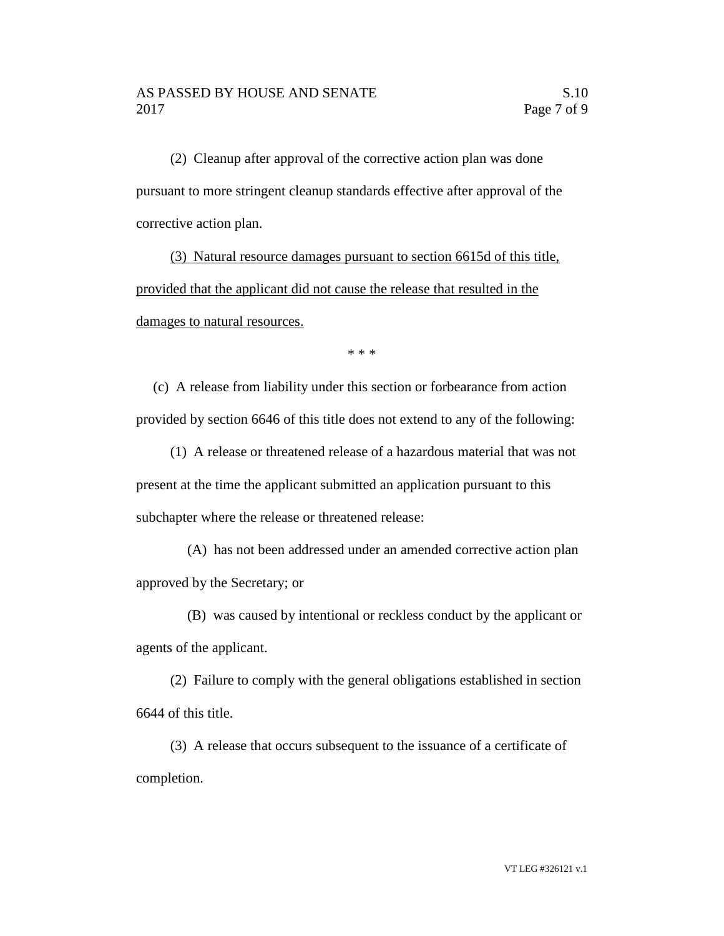(2) Cleanup after approval of the corrective action plan was done pursuant to more stringent cleanup standards effective after approval of the corrective action plan.

(3) Natural resource damages pursuant to section 6615d of this title, provided that the applicant did not cause the release that resulted in the damages to natural resources.

\* \* \*

(c) A release from liability under this section or forbearance from action provided by section 6646 of this title does not extend to any of the following:

(1) A release or threatened release of a hazardous material that was not present at the time the applicant submitted an application pursuant to this subchapter where the release or threatened release:

(A) has not been addressed under an amended corrective action plan approved by the Secretary; or

(B) was caused by intentional or reckless conduct by the applicant or agents of the applicant.

(2) Failure to comply with the general obligations established in section 6644 of this title.

(3) A release that occurs subsequent to the issuance of a certificate of completion.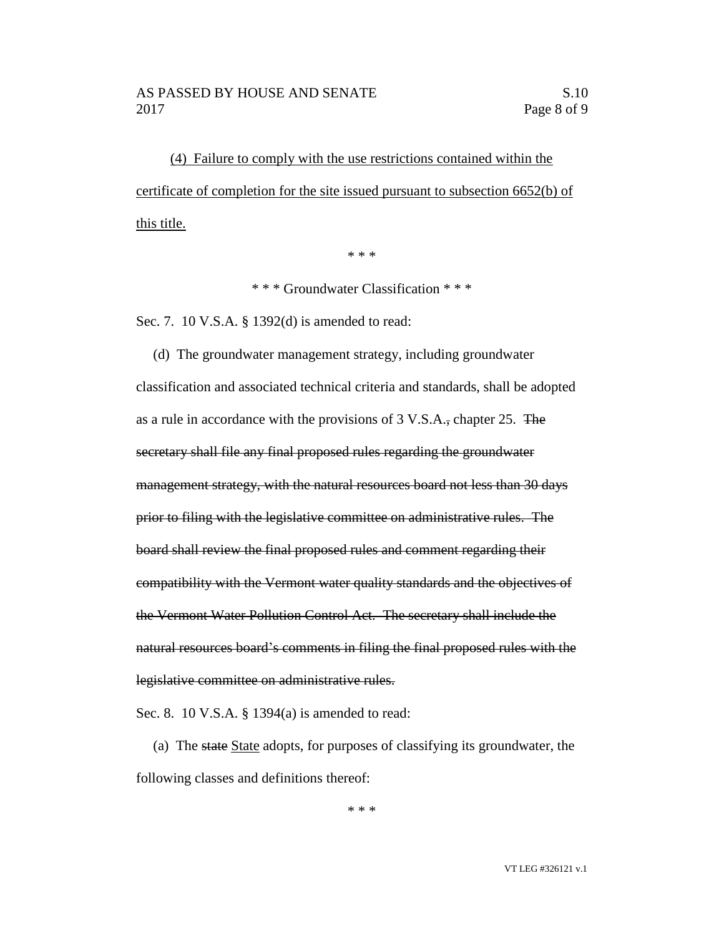(4) Failure to comply with the use restrictions contained within the certificate of completion for the site issued pursuant to subsection 6652(b) of this title.

\* \* \*

\* \* \* Groundwater Classification \* \* \*

Sec. 7. 10 V.S.A. § 1392(d) is amended to read:

(d) The groundwater management strategy, including groundwater classification and associated technical criteria and standards, shall be adopted as a rule in accordance with the provisions of 3 V.S.A., chapter 25. The secretary shall file any final proposed rules regarding the groundwater management strategy, with the natural resources board not less than 30 days prior to filing with the legislative committee on administrative rules. The board shall review the final proposed rules and comment regarding their compatibility with the Vermont water quality standards and the objectives of the Vermont Water Pollution Control Act. The secretary shall include the natural resources board's comments in filing the final proposed rules with the legislative committee on administrative rules.

Sec. 8. 10 V.S.A. § 1394(a) is amended to read:

(a) The state State adopts, for purposes of classifying its groundwater, the following classes and definitions thereof:

\* \* \*